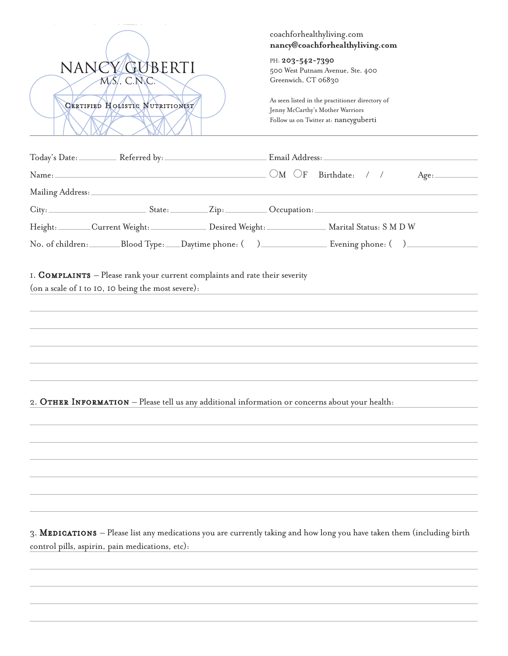|                                 |                                                    |  |                                                                             | coachforhealthyliving.com                                                                                                    | nancy@coachforhealthyliving.com                                                                                                                                                                                                                                                                  |  |
|---------------------------------|----------------------------------------------------|--|-----------------------------------------------------------------------------|------------------------------------------------------------------------------------------------------------------------------|--------------------------------------------------------------------------------------------------------------------------------------------------------------------------------------------------------------------------------------------------------------------------------------------------|--|
|                                 | NANCYGUBERTI<br>$M.S.$ , C.N.C.                    |  |                                                                             | PH: 203-542-7390<br>Greenwich, CT 06830                                                                                      | 500 West Putnam Avenue, Ste. 400                                                                                                                                                                                                                                                                 |  |
| CERTIFIED HOLISTIC NUTRITIONIST |                                                    |  |                                                                             | As seen listed in the practitioner directory of<br>Jenny McCarthy's Mother Warriors<br>Follow us on Twitter at: nancyguberti |                                                                                                                                                                                                                                                                                                  |  |
|                                 |                                                    |  |                                                                             |                                                                                                                              |                                                                                                                                                                                                                                                                                                  |  |
|                                 |                                                    |  |                                                                             |                                                                                                                              | Name: $\Box$ / / Name: $\Box$ / / $\Box$ / $\Box$ / $\Box$ / $\Box$ / $\Box$ / $\Box$ / $\Box$ / $\Box$ / $\Box$ / $\Box$ / $\Box$ / $\Box$ / $\Box$ / $\Box$ / $\Box$ / $\Box$ / $\Box$ / $\Box$ / $\Box$ / $\Box$ / $\Box$ / $\Box$ / $\Box$ / $\Box$ / $\Box$ / $\Box$ / $\Box$ / $\$<br>Age: |  |
|                                 |                                                    |  |                                                                             |                                                                                                                              |                                                                                                                                                                                                                                                                                                  |  |
|                                 |                                                    |  |                                                                             |                                                                                                                              | City: State: Zip: Occupation:                                                                                                                                                                                                                                                                    |  |
|                                 |                                                    |  |                                                                             |                                                                                                                              | Height: ________Current Weight: _______________ Desired Weight: ________________ Marital Status: S M D W                                                                                                                                                                                         |  |
|                                 |                                                    |  |                                                                             |                                                                                                                              |                                                                                                                                                                                                                                                                                                  |  |
|                                 | (on a scale of I to IO, IO being the most severe): |  | I. COMPLAINTS - Please rank your current complaints and rate their severity |                                                                                                                              | <u> 1980 - Jan Sterling, amerikansk politiker (d. 1980)</u>                                                                                                                                                                                                                                      |  |
|                                 |                                                    |  |                                                                             |                                                                                                                              |                                                                                                                                                                                                                                                                                                  |  |
|                                 |                                                    |  |                                                                             |                                                                                                                              | 2. OTHER INFORMATION - Please tell us any additional information or concerns about your health:                                                                                                                                                                                                  |  |
|                                 |                                                    |  |                                                                             |                                                                                                                              |                                                                                                                                                                                                                                                                                                  |  |
|                                 |                                                    |  |                                                                             |                                                                                                                              |                                                                                                                                                                                                                                                                                                  |  |
|                                 |                                                    |  |                                                                             |                                                                                                                              |                                                                                                                                                                                                                                                                                                  |  |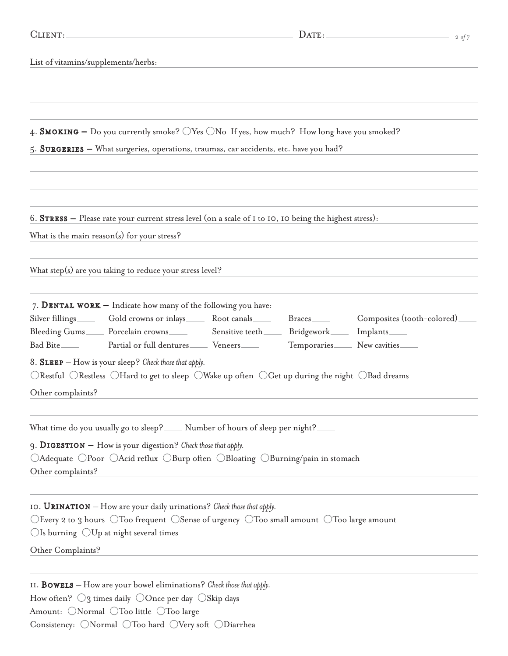| CLIENT:                             |                                                                                                                                                                                                                                                                                                                                                                                   |                          | $\text{DATE:}\n$                                                                 | $2 \text{ of } 7$ |
|-------------------------------------|-----------------------------------------------------------------------------------------------------------------------------------------------------------------------------------------------------------------------------------------------------------------------------------------------------------------------------------------------------------------------------------|--------------------------|----------------------------------------------------------------------------------|-------------------|
| List of vitamins/supplements/herbs: |                                                                                                                                                                                                                                                                                                                                                                                   |                          |                                                                                  |                   |
|                                     | 4. SMOKING – Do you currently smoke? $\bigcirc$ Yes $\bigcirc$ No If yes, how much? How long have you smoked?<br>5. SURGERIES - What surgeries, operations, traumas, car accidents, etc. have you had?                                                                                                                                                                            |                          |                                                                                  |                   |
|                                     | 6. STRESS - Please rate your current stress level (on a scale of I to IO, IO being the highest stress):<br>What is the main reason(s) for your stress?                                                                                                                                                                                                                            |                          |                                                                                  |                   |
|                                     | What step(s) are you taking to reduce your stress level?                                                                                                                                                                                                                                                                                                                          |                          |                                                                                  |                   |
| Other complaints?                   | 7. DENTAL WORK $-$ Indicate how many of the following you have:<br>Silver fillings ________ Gold crowns or inlays ________ Root canals ______<br>Bleeding Gums<br>Forcelain crowns<br>Sensitive teeth<br>Sensitive teeth<br>8. SLEEP - How is your sleep? Check those that apply.<br>ORestful ORestless OHard to get to sleep OWake up often OGet up during the night OBad dreams | Braces<br>Bridgework____ | Composites (tooth-colored)<br>Implants <sub>——</sub><br>Temporaries New cavities |                   |
| Other complaints?                   | What time do you usually go to sleep?_____ Number of hours of sleep per night?<br>9. DIGESTION - How is your digestion? Check those that apply.<br>○Adequate ○Poor ○Acid reflux ○Burp often ○Bloating ○Burning/pain in stomach                                                                                                                                                    |                          |                                                                                  |                   |
| Other Complaints?                   | IO. URINATION - How are your daily urinations? Check those that apply.<br>$\bigcirc$ Every 2 to 3 hours $\bigcirc$ Too frequent $\bigcirc$ Sense of urgency $\bigcirc$ Too small amount $\bigcirc$ Too large amount<br>$\bigcirc$ Is burning $\bigcirc$ Up at night several times                                                                                                 |                          |                                                                                  |                   |

11. Bowels – How are your bowel eliminations? *Check those that apply.* How often?  $\bigcirc$ 3 times daily  $\bigcirc$ Once per day  $\bigcirc$ Skip days Amount:  $\bigcirc$  Normal  $\bigcirc$  Too little  $\bigcirc$  Too large Consistency:  $\bigcirc$ Normal  $\bigcirc$ Too hard  $\bigcirc$ Very soft  $\bigcirc$ Diarrhea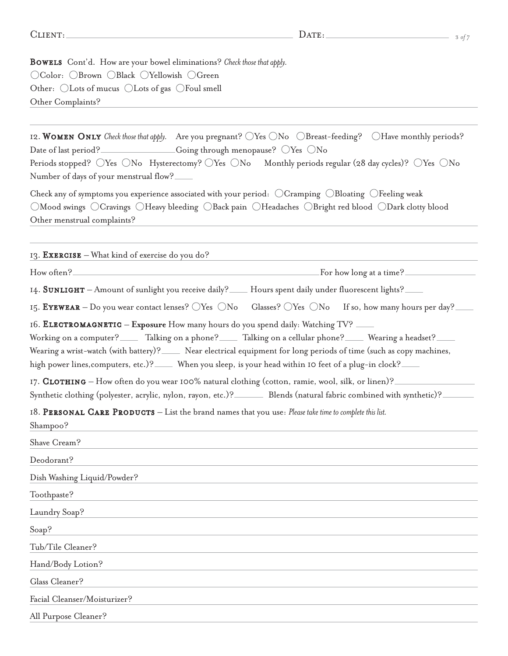Bowels Cont'd. How are your bowel eliminations? *Check those that apply.* OColor: OBrown OBlack OYellowish OGreen Other:  $\bigcirc$  Lots of mucus  $\bigcirc$  Lots of gas  $\bigcirc$  Foul smell Other Complaints?

12. WOMEN ONLY *Check those that apply.* Are you pregnant?  $\bigcirc Y$ es  $\bigcirc N$ o  $\bigcirc B$ reast-feeding?  $\bigcirc$ Have monthly periods? Date of last period? Going through menopause? OYes ONo Periods stopped? OYes ONo Hysterectomy? OYes ONo Monthly periods regular (28 day cycles)? OYes ONo Number of days of your menstrual flow? Check any of symptoms you experience associated with your period:  $\bigcirc$  Cramping  $\bigcirc$  Bloating  $\bigcirc$  Feeling weak Mood swings Cravings Heavy bleeding Back pain Headaches Bright red blood Dark clotty blood Other menstrual complaints? 13. **EXERCISE** – What kind of exercise do you do? How often? For how long at a time? 14. SUNLIGHT – Amount of sunlight you receive daily? — Hours spent daily under fluorescent lights? 15. EYEWEAR – Do you wear contact lenses?  $\bigcirc Y$ es  $\bigcirc N$ o Glasses?  $\bigcirc Y$ es  $\bigcirc N$ o If so, how many hours per day? 16. ELECTROMAGNETIC – Exposure How many hours do you spend daily: Watching TV? Working on a computer? Talking on a phone? Talking on a cellular phone? Wearing a headset? Wearing a wrist-watch (with battery)? Near electrical equipment for long periods of time (such as copy machines, high power lines, computers, etc.)? When you sleep, is your head within 10 feet of a plug-in clock? 17. CLOTHING – How often do you wear 100% natural clothing (cotton, ramie, wool, silk, or linen)? Synthetic clothing (polyester, acrylic, nylon, rayon, etc.)? Blends (natural fabric combined with synthetic)? 18. PERSONAL CARE PRODUCTS – List the brand names that you use: *Please take time to complete this list*. Shampoo? Shave Cream? Deodorant? Dish Washing Liquid/Powder? Toothpaste? Laundry Soap? Soap? Tub/Tile Cleaner? Hand/Body Lotion? Glass Cleaner? Facial Cleanser/Moisturizer? All Purpose Cleaner?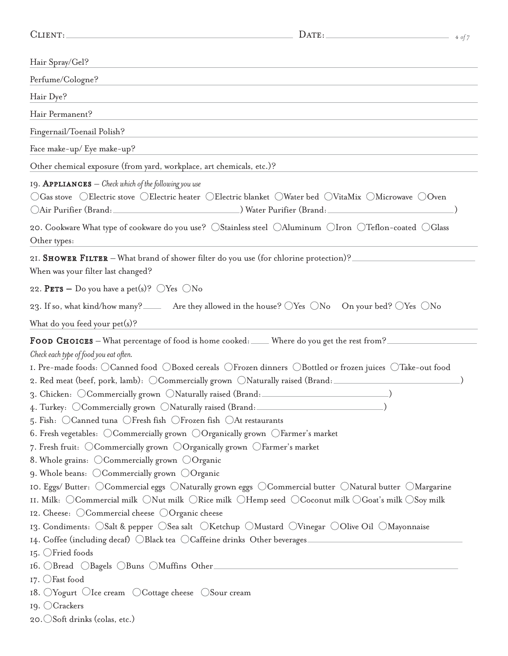| DATE:<br>CLIENT:                                                                                                                                                                                                                                                                                                                                                                                                                                                                                                                                                                                                                                                                                                                                                                                                                                                                                                                                                                                                                                                                                                                                                                                                                                                                                                                                                                                                                                                                                                                                                                                                | 4 of 7 |
|-----------------------------------------------------------------------------------------------------------------------------------------------------------------------------------------------------------------------------------------------------------------------------------------------------------------------------------------------------------------------------------------------------------------------------------------------------------------------------------------------------------------------------------------------------------------------------------------------------------------------------------------------------------------------------------------------------------------------------------------------------------------------------------------------------------------------------------------------------------------------------------------------------------------------------------------------------------------------------------------------------------------------------------------------------------------------------------------------------------------------------------------------------------------------------------------------------------------------------------------------------------------------------------------------------------------------------------------------------------------------------------------------------------------------------------------------------------------------------------------------------------------------------------------------------------------------------------------------------------------|--------|
| Hair Spray/Gel?                                                                                                                                                                                                                                                                                                                                                                                                                                                                                                                                                                                                                                                                                                                                                                                                                                                                                                                                                                                                                                                                                                                                                                                                                                                                                                                                                                                                                                                                                                                                                                                                 |        |
| Perfume/Cologne?                                                                                                                                                                                                                                                                                                                                                                                                                                                                                                                                                                                                                                                                                                                                                                                                                                                                                                                                                                                                                                                                                                                                                                                                                                                                                                                                                                                                                                                                                                                                                                                                |        |
| Hair Dye?                                                                                                                                                                                                                                                                                                                                                                                                                                                                                                                                                                                                                                                                                                                                                                                                                                                                                                                                                                                                                                                                                                                                                                                                                                                                                                                                                                                                                                                                                                                                                                                                       |        |
| Hair Permanent?                                                                                                                                                                                                                                                                                                                                                                                                                                                                                                                                                                                                                                                                                                                                                                                                                                                                                                                                                                                                                                                                                                                                                                                                                                                                                                                                                                                                                                                                                                                                                                                                 |        |
|                                                                                                                                                                                                                                                                                                                                                                                                                                                                                                                                                                                                                                                                                                                                                                                                                                                                                                                                                                                                                                                                                                                                                                                                                                                                                                                                                                                                                                                                                                                                                                                                                 |        |
| Fingernail/Toenail Polish?                                                                                                                                                                                                                                                                                                                                                                                                                                                                                                                                                                                                                                                                                                                                                                                                                                                                                                                                                                                                                                                                                                                                                                                                                                                                                                                                                                                                                                                                                                                                                                                      |        |
| Face make-up/ Eye make-up?                                                                                                                                                                                                                                                                                                                                                                                                                                                                                                                                                                                                                                                                                                                                                                                                                                                                                                                                                                                                                                                                                                                                                                                                                                                                                                                                                                                                                                                                                                                                                                                      |        |
| Other chemical exposure (from yard, workplace, art chemicals, etc.)?                                                                                                                                                                                                                                                                                                                                                                                                                                                                                                                                                                                                                                                                                                                                                                                                                                                                                                                                                                                                                                                                                                                                                                                                                                                                                                                                                                                                                                                                                                                                            |        |
| <b>19. APPLIANCES</b> $-$ Check which of the following you use<br>○Gas stove ○Electric stove ○Electric heater ○Electric blanket ○Water bed ○VitaMix ○Microwave ○Oven<br>20. Cookware What type of cookware do you use? OStainless steel OAluminum OIron OTeflon-coated OGlass                                                                                                                                                                                                                                                                                                                                                                                                                                                                                                                                                                                                                                                                                                                                                                                                                                                                                                                                                                                                                                                                                                                                                                                                                                                                                                                                   |        |
| Other types:                                                                                                                                                                                                                                                                                                                                                                                                                                                                                                                                                                                                                                                                                                                                                                                                                                                                                                                                                                                                                                                                                                                                                                                                                                                                                                                                                                                                                                                                                                                                                                                                    |        |
| 21. SHOWER FILTER – What brand of shower filter do you use (for chlorine protection)?<br>When was your filter last changed?                                                                                                                                                                                                                                                                                                                                                                                                                                                                                                                                                                                                                                                                                                                                                                                                                                                                                                                                                                                                                                                                                                                                                                                                                                                                                                                                                                                                                                                                                     |        |
| 22. <b>PETS</b> – Do you have a pet(s)? $\bigcirc$ Yes $\bigcirc$ No                                                                                                                                                                                                                                                                                                                                                                                                                                                                                                                                                                                                                                                                                                                                                                                                                                                                                                                                                                                                                                                                                                                                                                                                                                                                                                                                                                                                                                                                                                                                            |        |
| 23. If so, what kind/how many? ______ Are they allowed in the house? $\bigcirc$ Yes $\bigcirc$ No $\bigcirc$ On your bed? $\bigcirc$ Yes $\bigcirc$ No                                                                                                                                                                                                                                                                                                                                                                                                                                                                                                                                                                                                                                                                                                                                                                                                                                                                                                                                                                                                                                                                                                                                                                                                                                                                                                                                                                                                                                                          |        |
| What do you feed your $pet(s)?$                                                                                                                                                                                                                                                                                                                                                                                                                                                                                                                                                                                                                                                                                                                                                                                                                                                                                                                                                                                                                                                                                                                                                                                                                                                                                                                                                                                                                                                                                                                                                                                 |        |
| FOOD CHOICES - What percentage of food is home cooked: ____ Where do you get the rest from? ____<br>Check each type of food you eat often.<br>I. Pre-made foods: OCanned food OBoxed cereals OFrozen dinners OBottled or frozen juices OTake-out food<br>2. Red meat (beef, pork, lamb): OCommercially grown ONaturally raised (Brand:<br>3. Chicken: OCommercially grown ONaturally raised (Brand: ______________________<br>4. Turkey: OCommercially grown ONaturally raised (Brand:<br>5. Fish: $\bigcirc$ Canned tuna $\bigcirc$ Fresh fish $\bigcirc$ Frozen fish $\bigcirc$ At restaurants<br>6. Fresh vegetables: $\bigcirc$ Commercially grown $\bigcirc$ Organically grown $\bigcirc$ Farmer's market<br>7. Fresh fruit: $\bigcirc$ Commercially grown $\bigcirc$ Organically grown $\bigcirc$ Farmer's market<br>8. Whole grains: $\bigcirc$ Commercially grown $\bigcirc$ Organic<br>9. Whole beans: $\bigcirc$ Commercially grown $\bigcirc$ Organic<br>10. Eggs/ Butter: $\bigcirc$ Commercial eggs $\bigcirc$ Naturally grown eggs $\bigcirc$ Commercial butter $\bigcirc$ Natural butter $\bigcirc$ Margarine<br>II. Milk: ○Commercial milk ○Nut milk ○Rice milk ○Hemp seed ○Coconut milk ○Goat's milk ○Soy milk<br>12. Cheese: OCommercial cheese OOrganic cheese<br>13. Condiments: OSalt & pepper OSea salt OKetchup OMustard OVinegar OOlive Oil OMayonnaise<br>14. Coffee (including decaf) OBlack tea OCaffeine drinks Other beverages_<br>15. OFried foods<br>16. OBread OBagels OBuns OMuffins Other<br>$I7.$ $\bigcirc$ Fast food<br>18. OYogurt OIce cream OCottage cheese OSour cream |        |
| 19. $\bigcirc$ Crackers<br>20. Soft drinks (colas, etc.)                                                                                                                                                                                                                                                                                                                                                                                                                                                                                                                                                                                                                                                                                                                                                                                                                                                                                                                                                                                                                                                                                                                                                                                                                                                                                                                                                                                                                                                                                                                                                        |        |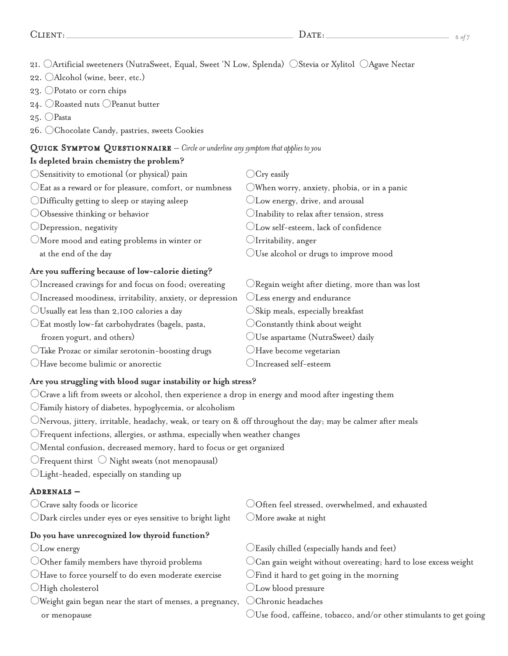CLIENT: 5 *of 7* 

21.  $\Box$ Artificial sweeteners (NutraSweet, Equal, Sweet 'N Low, Splenda)  $\Box$ Stevia or Xylitol  $\Box$ Agave Nectar

- 22. Alcohol (wine, beer, etc.)
- 23. Potato or corn chips
- 24.  $\bigcirc$ Roasted nuts  $\bigcirc$ Peanut butter
- 25. ○Pasta
- 26. Chocolate Candy, pastries, sweets Cookies

#### QUICK SYMPTOM QUESTIONNAIRE – *Circle or underline any symptom that applies to you*

### **Is depleted brain chemistry the problem?**

| OSensitivity to emotional (or physical) pain                     | $\rm Cry$ easily                                           |
|------------------------------------------------------------------|------------------------------------------------------------|
| $\bigcirc$ Eat as a reward or for pleasure, comfort, or numbness | OWhen worry, anxiety, phobia, or in a panic                |
| ODifficulty getting to sleep or staying asleep                   | $\bigcirc$ Low energy, drive, and arousal                  |
| $\bigcirc$ Obsessive thinking or behavior                        | $\bigcirc$ Inability to relax after tension, stress        |
| $\bigcirc$ Depression, negativity                                | CLow self-esteem, lack of confidence                       |
| $\bigcirc$ More mood and eating problems in winter or            | $\bigcup$ Irritability, anger                              |
| at the end of the day                                            | $\bigcirc$ Use alcohol or drugs to improve mood            |
| Are you suffering because of low-calorie dieting?                |                                                            |
| CIncreased cravings for and focus on food; overeating            | $\bigcirc$ Regain weight after dieting, more than was lost |
| OIncreased moodiness, irritability, anxiety, or depression       | Less energy and endurance                                  |
| $\bigcirc$ Usually eat less than 2,100 calories a day            | $\bigcirc$ Skip meals, especially breakfast                |
| CEat mostly low-fat carbohydrates (bagels, pasta,                | $\bigcirc$ Constantly think about weight                   |
| frozen yogurt, and others)                                       | $\bigcirc$ Use aspartame (NutraSweet) daily                |
| OTake Prozac or similar serotonin-boosting drugs                 | Have become vegetarian                                     |
| Have become bulimic or anorectic                                 | Increased self-esteem                                      |

- **Are you struggling with blood sugar instability or high stress?**
- $\bigcirc$  Crave a lift from sweets or alcohol, then experience a drop in energy and mood after ingesting them
- Family history of diabetes, hypoglycemia, or alcoholism
- $\bigcirc$ Nervous, jittery, irritable, headachy, weak, or teary on & off throughout the day; may be calmer after meals
- $\bigcirc$ Frequent infections, allergies, or asthma, especially when weather changes
- Mental confusion, decreased memory, hard to focus or get organized
- $\bigcirc$ Frequent thirst  $\bigcirc$  Night sweats (not menopausal)
- Light-headed, especially on standing up

## Adrenals –

- 
- $\bigcirc$ Dark circles under eyes or eyes sensitive to bright light  $\hspace{0.5cm}$   $\bigcirc$ More awake at night

## **Do you have unrecognized low thyroid function?**

- 
- 
- $\bigcirc$ Have to force yourself to do even moderate exercise  $\hspace{15pt}$   $\bigcirc$  Find it hard to get going in the morning
- 
- Weight gain began near the start of menses, a pregnancy,  $\;\bigcirc$  Chronic headaches

 $\bigcirc$  Crave salty foods or licorice  $\bigcirc$  Often feel stressed, overwhelmed, and exhausted

- $\bigcirc$  Low energy  $\hspace{1cm}$   $\bigcirc$  Easily chilled (especially hands and feet)
- $\bigcirc$ Other family members have thyroid problems  $\hspace{1cm}$   $\bigcirc$  Can gain weight without overeating; hard to lose excess weight
	-
- $\bigcirc$ High cholesterol  $\bigcirc$  Low blood pressure
	-
	- or menopause **Exercise 2015** Use food, caffeine, tobacco, and/or other stimulants to get going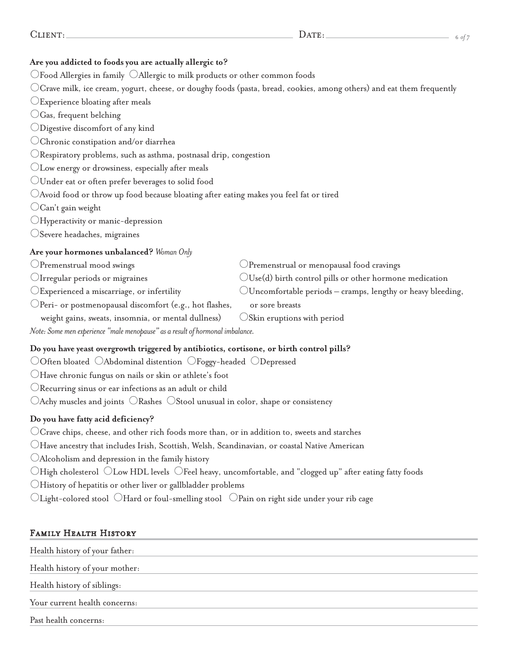| $\overline{\phantom{0}}$ |  |  |
|--------------------------|--|--|
|--------------------------|--|--|

# **Are you addicted to foods you are actually allergic to?**

 $\bigcirc$  Food Allergies in family  $\bigcirc$  Allergic to milk products or other common foods

 $\bigcirc$  Crave milk, ice cream, yogurt, cheese, or doughy foods (pasta, bread, cookies, among others) and eat them frequently

- Experience bloating after meals
- $\bigcirc$ Gas, frequent belching
- Digestive discomfort of any kind
- Chronic constipation and/or diarrhea
- $\bigcirc$ Respiratory problems, such as asthma, postnasal drip, congestion
- Low energy or drowsiness, especially after meals
- Under eat or often prefer beverages to solid food
- $\bigcirc$  Avoid food or throw up food because bloating after eating makes you feel fat or tired
- $\bigcirc$ Can't gain weight
- Hyperactivity or manic-depression
- Severe headaches, migraines

## **Are your hormones unbalanced?** *Woman Only*

- 
- 
- 
- $\bigcirc$  Peri- or postmenopausal discomfort (e.g., hot flashes, or sore breasts
	- weight gains, sweats, insomnia, or mental dullness)  $\bigcirc$ Skin eruptions with period
- *Note: Some men experience "male menopause" as a result of hormonal imbalance.*

## **Do you have yeast overgrowth triggered by antibiotics, cortisone, or birth control pills?**

- $\bigcirc$ Often bloated  $\bigcirc$ Abdominal distention  $\bigcirc$ Foggy-headed  $\bigcirc$ Depressed
- Have chronic fungus on nails or skin or athlete's foot
- Recurring sinus or ear infections as an adult or child
- $\bigcirc$ Achy muscles and joints  $\bigcirc$ Rashes  $\bigcirc$ Stool unusual in color, shape or consistency

## **Do you have fatty acid deficiency?**

- $\bigcirc$  Crave chips, cheese, and other rich foods more than, or in addition to, sweets and starches
- $\bigcirc$ Have ancestry that includes Irish, Scottish, Welsh, Scandinavian, or coastal Native American
- Alcoholism and depression in the family history
- $\bigcirc$ High cholesterol  $\bigcirc$ Low HDL levels  $\bigcirc$ Feel heavy, uncomfortable, and "clogged up" after eating fatty foods
- $\bigcirc$ History of hepatitis or other liver or gallbladder problems
- $\bigcirc$ Light-colored stool  $\bigcirc$ Hard or foul-smelling stool  $\bigcirc$ Pain on right side under your rib cage

## Family Health History

| Health history of your father: |
|--------------------------------|
| Health history of your mother: |
| Health history of siblings:    |
| Your current health concerns:  |
| Past health concerns:          |

- $\bigcirc$ Premenstrual mood swings  $\bigcirc$ Premenstrual or menopausal food cravings
- $\bigcirc$  Irregular periods or migraines  $\bigcirc$  Use(d) birth control pills or other hormone medication
- $\bigcirc$ Experienced a miscarriage, or infertility  $\bigcirc$ Uncomfortable periods cramps, lengthy or heavy bleeding,